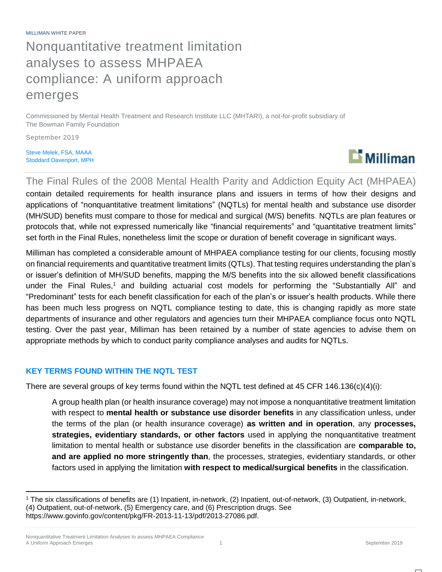MILLIMAN WHITE PAPER Nonquantitative treatment limitation analyses to assess MHPAEA compliance: A uniform approach emerges

Commissioned by Mental Health Treatment and Research Institute LLC (MHTARI), a not-for-profit subsidiary of The Bowman Family Foundation

September 2019

 $\overline{a}$ 

Steve Melek, FSA, MAAA Stoddard Davenport, MPH



The Final Rules of the 2008 Mental Health Parity and Addiction Equity Act (MHPAEA) contain detailed requirements for health insurance plans and issuers in terms of how their designs and applications of "nonquantitative treatment limitations" (NQTLs) for mental health and substance use disorder (MH/SUD) benefits must compare to those for medical and surgical (M/S) benefits. NQTLs are plan features or protocols that, while not expressed numerically like "financial requirements" and "quantitative treatment limits" set forth in the Final Rules, nonetheless limit the scope or duration of benefit coverage in significant ways.

Milliman has completed a considerable amount of MHPAEA compliance testing for our clients, focusing mostly on financial requirements and quantitative treatment limits (QTLs). That testing requires understanding the plan's or issuer's definition of MH/SUD benefits, mapping the M/S benefits into the six allowed benefit classifications under the Final Rules,<sup>1</sup> and building actuarial cost models for performing the "Substantially All" and "Predominant" tests for each benefit classification for each of the plan's or issuer's health products. While there has been much less progress on NQTL compliance testing to date, this is changing rapidly as more state departments of insurance and other regulators and agencies turn their MHPAEA compliance focus onto NQTL testing. Over the past year, Milliman has been retained by a number of state agencies to advise them on appropriate methods by which to conduct parity compliance analyses and audits for NQTLs.

## **KEY TERMS FOUND WITHIN THE NQTL TEST**

There are several groups of key terms found within the NQTL test defined at 45 CFR 146.136(c)(4)(i):

A group health plan (or health insurance coverage) may not impose a nonquantitative treatment limitation with respect to **mental health or substance use disorder benefits** in any classification unless, under the terms of the plan (or health insurance coverage) **as written and in operation**, any **processes, strategies, evidentiary standards, or other factors** used in applying the nonquantitative treatment limitation to mental health or substance use disorder benefits in the classification are **comparable to, and are applied no more stringently than**, the processes, strategies, evidentiary standards, or other factors used in applying the limitation **with respect to medical/surgical benefits** in the classification.

<sup>1</sup> The six classifications of benefits are (1) Inpatient, in-network, (2) Inpatient, out-of-network, (3) Outpatient, in-network, (4) Outpatient, out-of-network, (5) Emergency care, and (6) Prescription drugs. See https://www.govinfo.gov/content/pkg/FR-2013-11-13/pdf/2013-27086.pdf.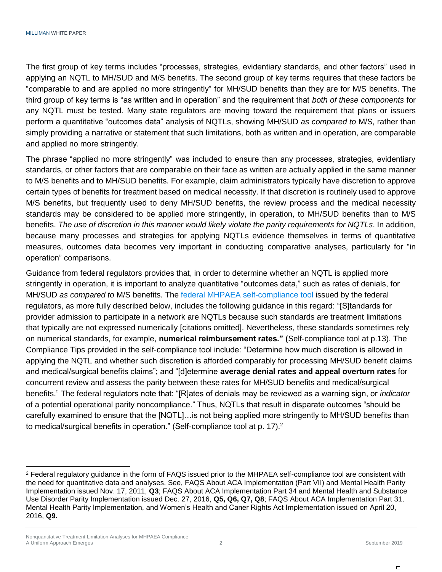The first group of key terms includes "processes, strategies, evidentiary standards, and other factors" used in applying an NQTL to MH/SUD and M/S benefits. The second group of key terms requires that these factors be "comparable to and are applied no more stringently" for MH/SUD benefits than they are for M/S benefits. The third group of key terms is "as written and in operation" and the requirement that *both of these components* for any NQTL must be tested. Many state regulators are moving toward the requirement that plans or issuers perform a quantitative "outcomes data" analysis of NQTLs, showing MH/SUD *as compared to* M/S, rather than simply providing a narrative or statement that such limitations, both as written and in operation, are comparable and applied no more stringently.

The phrase "applied no more stringently" was included to ensure than any processes, strategies, evidentiary standards, or other factors that are comparable on their face as written are actually applied in the same manner to M/S benefits and to MH/SUD benefits. For example, claim administrators typically have discretion to approve certain types of benefits for treatment based on medical necessity. If that discretion is routinely used to approve M/S benefits, but frequently used to deny MH/SUD benefits, the review process and the medical necessity standards may be considered to be applied more stringently, in operation, to MH/SUD benefits than to M/S benefits. *The use of discretion in this manner would likely violate the parity requirements for NQTLs*. In addition, because many processes and strategies for applying NQTLs evidence themselves in terms of quantitative measures, outcomes data becomes very important in conducting comparative analyses, particularly for "in operation" comparisons.

Guidance from federal regulators provides that, in order to determine whether an NQTL is applied more stringently in operation, it is important to analyze quantitative "outcomes data," such as rates of denials, for MH/SUD *as compared to* M/S benefits. The [federal MHPAEA self-compliance tool](https://www.dol.gov/sites/default/files/ebsa/about-ebsa/our-activities/resource-center/publications/compliance-assistance-guide-appendix-a-mhpaea.pdf) issued by the federal regulators, as more fully described below, includes the following guidance in this regard: "[S]tandards for provider admission to participate in a network are NQTLs because such standards are treatment limitations that typically are not expressed numerically [citations omitted]. Nevertheless, these standards sometimes rely on numerical standards, for example, **numerical reimbursement rates." (**Self-compliance tool at p.13). The Compliance Tips provided in the self-compliance tool include: "Determine how much discretion is allowed in applying the NQTL and whether such discretion is afforded comparably for processing MH/SUD benefit claims and medical/surgical benefits claims"; and "[d]etermine **average denial rates and appeal overturn rates** for concurrent review and assess the parity between these rates for MH/SUD benefits and medical/surgical benefits." The federal regulators note that: "[R]ates of denials may be reviewed as a warning sign, or *indicator*  of a potential operational parity noncompliance." Thus, NQTLs that result in disparate outcomes "should be carefully examined to ensure that the [NQTL]…is not being applied more stringently to MH/SUD benefits than to medical/surgical benefits in operation." (Self-compliance tool at p. 17).<sup>2</sup>

 $\overline{a}$ 

<sup>&</sup>lt;sup>2</sup> Federal regulatory guidance in the form of FAQS issued prior to the MHPAEA self-compliance tool are consistent with the need for quantitative data and analyses. See, FAQS About ACA Implementation (Part VII) and Mental Health Parity Implementation issued Nov. 17, 2011, **Q3**; FAQS About ACA Implementation Part 34 and Mental Health and Substance Use Disorder Parity Implementation issued Dec. 27, 2016, **Q5, Q6, Q7, Q8**; FAQS About ACA Implementation Part 31, Mental Health Parity Implementation, and Women's Health and Caner Rights Act Implementation issued on April 20, 2016, **Q9.**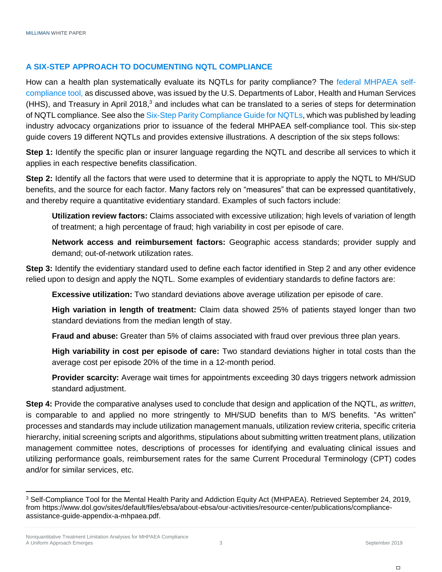## **A SIX-STEP APPROACH TO DOCUMENTING NQTL COMPLIANCE**

How can a health plan systematically evaluate its NQTLs for parity compliance? The federal [MHPAEA self](https://www.dol.gov/sites/default/files/ebsa/about-ebsa/our-activities/resource-center/publications/compliance-assistance-guide-appendix-a-mhpaea.pdf)[compliance tool,](https://www.dol.gov/sites/default/files/ebsa/about-ebsa/our-activities/resource-center/publications/compliance-assistance-guide-appendix-a-mhpaea.pdf) as discussed above, was issued by the U.S. Departments of Labor, Health and Human Services (HHS), and Treasury in April 2018,<sup>3</sup> and includes what can be translated to a series of steps for determination of NQTL compliance. See also the Six-Step [Parity Compliance Guide for NQTLs,](https://www.apna.org/files/six_step_issue_brief.pdf) which was published by leading industry advocacy organizations prior to issuance of the federal MHPAEA self-compliance tool. This six-step guide covers 19 different NQTLs and provides extensive illustrations. A description of the six steps follows:

**Step 1:** Identify the specific plan or insurer language regarding the NQTL and describe all services to which it applies in each respective benefits classification.

**Step 2:** Identify all the factors that were used to determine that it is appropriate to apply the NQTL to MH/SUD benefits, and the source for each factor. Many factors rely on "measures" that can be expressed quantitatively, and thereby require a quantitative evidentiary standard. Examples of such factors include:

**Utilization review factors:** Claims associated with excessive utilization; high levels of variation of length of treatment; a high percentage of fraud; high variability in cost per episode of care.

**Network access and reimbursement factors:** Geographic access standards; provider supply and demand; out-of-network utilization rates.

**Step 3:** Identify the evidentiary standard used to define each factor identified in Step 2 and any other evidence relied upon to design and apply the NQTL. Some examples of evidentiary standards to define factors are:

**Excessive utilization:** Two standard deviations above average utilization per episode of care.

**High variation in length of treatment:** Claim data showed 25% of patients stayed longer than two standard deviations from the median length of stay.

**Fraud and abuse:** Greater than 5% of claims associated with fraud over previous three plan years.

**High variability in cost per episode of care:** Two standard deviations higher in total costs than the average cost per episode 20% of the time in a 12-month period.

**Provider scarcity:** Average wait times for appointments exceeding 30 days triggers network admission standard adjustment.

**Step 4:** Provide the comparative analyses used to conclude that design and application of the NQTL, *as written*, is comparable to and applied no more stringently to MH/SUD benefits than to M/S benefits. "As written" processes and standards may include utilization management manuals, utilization review criteria, specific criteria hierarchy, initial screening scripts and algorithms, stipulations about submitting written treatment plans, utilization management committee notes, descriptions of processes for identifying and evaluating clinical issues and utilizing performance goals, reimbursement rates for the same Current Procedural Terminology (CPT) codes and/or for similar services, etc.

 $\overline{a}$ 

<sup>3</sup> Self-Compliance Tool for the Mental Health Parity and Addiction Equity Act (MHPAEA). Retrieved September 24, 2019, from https://www.dol.gov/sites/default/files/ebsa/about-ebsa/our-activities/resource-center/publications/complianceassistance-guide-appendix-a-mhpaea.pdf.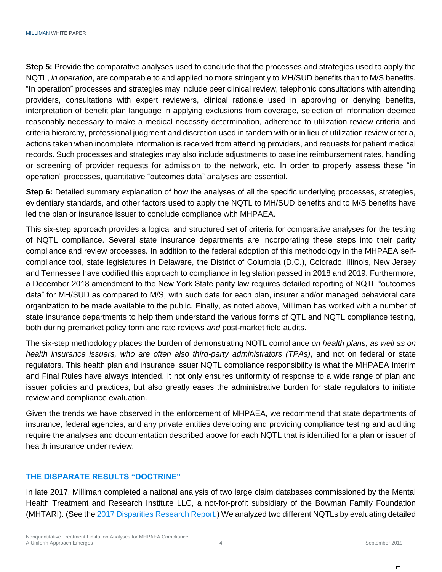**Step 5:** Provide the comparative analyses used to conclude that the processes and strategies used to apply the NQTL, *in operation*, are comparable to and applied no more stringently to MH/SUD benefits than to M/S benefits. "In operation" processes and strategies may include peer clinical review, telephonic consultations with attending providers, consultations with expert reviewers, clinical rationale used in approving or denying benefits, interpretation of benefit plan language in applying exclusions from coverage, selection of information deemed reasonably necessary to make a medical necessity determination, adherence to utilization review criteria and criteria hierarchy, professional judgment and discretion used in tandem with or in lieu of utilization review criteria, actions taken when incomplete information is received from attending providers, and requests for patient medical records. Such processes and strategies may also include adjustments to baseline reimbursement rates, handling or screening of provider requests for admission to the network, etc. In order to properly assess these "in operation" processes, quantitative "outcomes data" analyses are essential.

**Step 6:** Detailed summary explanation of how the analyses of all the specific underlying processes, strategies, evidentiary standards, and other factors used to apply the NQTL to MH/SUD benefits and to M/S benefits have led the plan or insurance issuer to conclude compliance with MHPAEA.

This six-step approach provides a logical and structured set of criteria for comparative analyses for the testing of NQTL compliance. Several state insurance departments are incorporating these steps into their parity compliance and review processes. In addition to the federal adoption of this methodology in the MHPAEA selfcompliance tool, state legislatures in Delaware, the District of Columbia (D.C.), Colorado, Illinois, New Jersey and Tennessee have codified this approach to compliance in legislation passed in 2018 and 2019. Furthermore, a December 2018 amendment to the New York State parity law requires detailed reporting of NQTL "outcomes data" for MH/SUD as compared to M/S, with such data for each plan, insurer and/or managed behavioral care organization to be made available to the public. Finally, as noted above, Milliman has worked with a number of state insurance departments to help them understand the various forms of QTL and NQTL compliance testing, both during premarket policy form and rate reviews *and* post-market field audits.

The six-step methodology places the burden of demonstrating NQTL compliance *on health plans, as well as on health insurance issuers, who are often also third-party administrators (TPAs)*, and not on federal or state regulators. This health plan and insurance issuer NQTL compliance responsibility is what the MHPAEA Interim and Final Rules have always intended. It not only ensures uniformity of response to a wide range of plan and issuer policies and practices, but also greatly eases the administrative burden for state regulators to initiate review and compliance evaluation.

Given the trends we have observed in the enforcement of MHPAEA, we recommend that state departments of insurance, federal agencies, and any private entities developing and providing compliance testing and auditing require the analyses and documentation described above for each NQTL that is identified for a plan or issuer of health insurance under review.

## **THE DISPARATE RESULTS "DOCTRINE"**

In late 2017, Milliman completed a national analysis of two large claim databases commissioned by the Mental Health Treatment and Research Institute LLC, a not-for-profit subsidiary of the Bowman Family Foundation (MHTARI). (See th[e 2017 Disparities Research Report.](https://www.milliman.com/uploadedFiles/insight/2017/NQTLDisparityAnalysis.pdf)) We analyzed two different NQTLs by evaluating detailed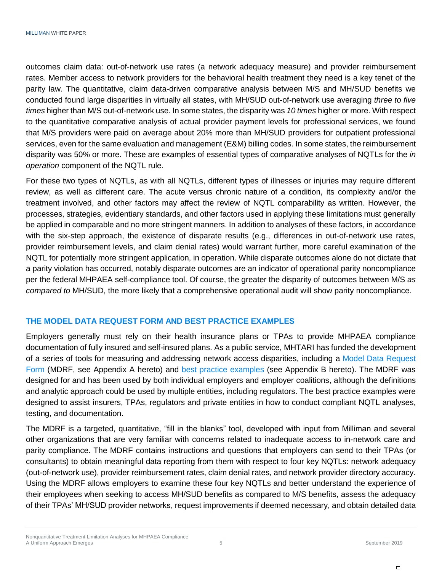outcomes claim data: out-of-network use rates (a network adequacy measure) and provider reimbursement rates. Member access to network providers for the behavioral health treatment they need is a key tenet of the parity law. The quantitative, claim data-driven comparative analysis between M/S and MH/SUD benefits we conducted found large disparities in virtually all states, with MH/SUD out-of-network use averaging *three to five times* higher than M/S out-of-network use. In some states, the disparity was *10 times* higher or more. With respect to the quantitative comparative analysis of actual provider payment levels for professional services, we found that M/S providers were paid on average about 20% more than MH/SUD providers for outpatient professional services, even for the same evaluation and management (E&M) billing codes. In some states, the reimbursement disparity was 50% or more. These are examples of essential types of comparative analyses of NQTLs for the *in operation* component of the NQTL rule.

For these two types of NQTLs, as with all NQTLs, different types of illnesses or injuries may require different review, as well as different care. The acute versus chronic nature of a condition, its complexity and/or the treatment involved, and other factors may affect the review of NQTL comparability as written. However, the processes, strategies, evidentiary standards, and other factors used in applying these limitations must generally be applied in comparable and no more stringent manners. In addition to analyses of these factors, in accordance with the six-step approach, the existence of disparate results (e.g., differences in out-of-network use rates, provider reimbursement levels, and claim denial rates) would warrant further, more careful examination of the NQTL for potentially more stringent application, in operation. While disparate outcomes alone do not dictate that a parity violation has occurred, notably disparate outcomes are an indicator of operational parity noncompliance per the federal MHPAEA self-compliance tool. Of course, the greater the disparity of outcomes between M/S *as compared to* MH/SUD, the more likely that a comprehensive operational audit will show parity noncompliance.

## **THE MODEL DATA REQUEST FORM AND BEST PRACTICE EXAMPLES**

Employers generally must rely on their health insurance plans or TPAs to provide MHPAEA compliance documentation of fully insured and self-insured plans. As a public service, MHTARI has funded the development of a series of tools for measuring and addressing network access disparities, including a [Model Data Request](http://www.mhtari.org/Model_Data_Request_Form.pdf)  [Form](http://www.mhtari.org/Model_Data_Request_Form.pdf) (MDRF, see Appendix A hereto) and [best practice examples](http://www.mhtari.org/Best_Practice_Examples_NQTL_Compliance.pdf) (see Appendix B hereto). The MDRF was designed for and has been used by both individual employers and employer coalitions, although the definitions and analytic approach could be used by multiple entities, including regulators. The best practice examples were designed to assist insurers, TPAs, regulators and private entities in how to conduct compliant NQTL analyses, testing, and documentation.

The MDRF is a targeted, quantitative, "fill in the blanks" tool, developed with input from Milliman and several other organizations that are very familiar with concerns related to inadequate access to in-network care and parity compliance. The MDRF contains instructions and questions that employers can send to their TPAs (or consultants) to obtain meaningful data reporting from them with respect to four key NQTLs: network adequacy (out-of-network use), provider reimbursement rates, claim denial rates, and network provider directory accuracy. Using the MDRF allows employers to examine these four key NQTLs and better understand the experience of their employees when seeking to access MH/SUD benefits as compared to M/S benefits, assess the adequacy of their TPAs' MH/SUD provider networks, request improvements if deemed necessary, and obtain detailed data